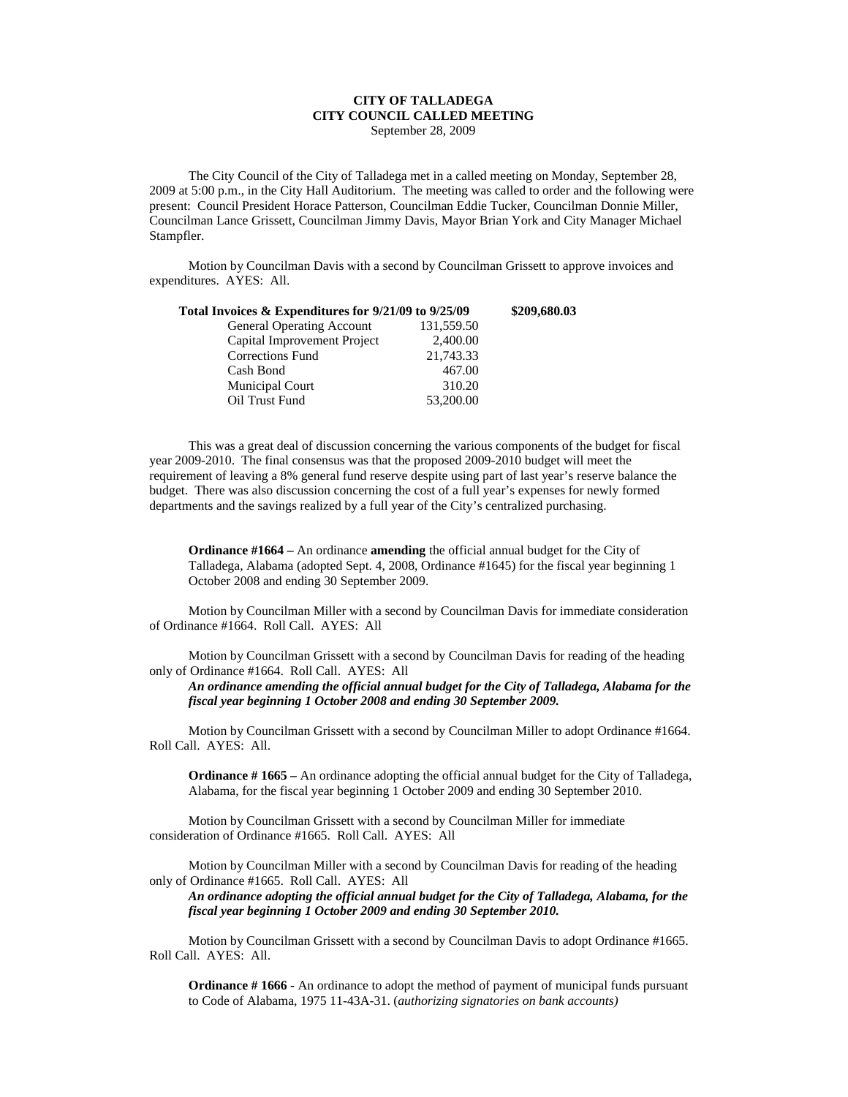## **CITY OF TALLADEGA CITY COUNCIL CALLED MEETING** September 28, 2009

The City Council of the City of Talladega met in a called meeting on Monday, September 28, 2009 at 5:00 p.m., in the City Hall Auditorium. The meeting was called to order and the following were present: Council President Horace Patterson, Councilman Eddie Tucker, Councilman Donnie Miller, Councilman Lance Grissett, Councilman Jimmy Davis, Mayor Brian York and City Manager Michael Stampfler.

Motion by Councilman Davis with a second by Councilman Grissett to approve invoices and expenditures. AYES: All.

| Total Invoices & Expenditures for 9/21/09 to 9/25/09 |            | \$209,680.03 |
|------------------------------------------------------|------------|--------------|
| General Operating Account                            | 131,559.50 |              |
| Capital Improvement Project                          | 2,400.00   |              |
| Corrections Fund                                     | 21,743.33  |              |
| Cash Bond                                            | 467.00     |              |
| Municipal Court                                      | 310.20     |              |
| Oil Trust Fund                                       | 53,200.00  |              |

This was a great deal of discussion concerning the various components of the budget for fiscal year 2009-2010. The final consensus was that the proposed 2009-2010 budget will meet the requirement of leaving a 8% general fund reserve despite using part of last year's reserve balance the budget. There was also discussion concerning the cost of a full year's expenses for newly formed departments and the savings realized by a full year of the City's centralized purchasing.

**Ordinance #1664 –** An ordinance **amending** the official annual budget for the City of Talladega, Alabama (adopted Sept. 4, 2008, Ordinance #1645) for the fiscal year beginning 1 October 2008 and ending 30 September 2009.

Motion by Councilman Miller with a second by Councilman Davis for immediate consideration of Ordinance #1664. Roll Call. AYES: All

Motion by Councilman Grissett with a second by Councilman Davis for reading of the heading only of Ordinance #1664. Roll Call. AYES: All

*An ordinance amending the official annual budget for the City of Talladega, Alabama for the fiscal year beginning 1 October 2008 and ending 30 September 2009.*

Motion by Councilman Grissett with a second by Councilman Miller to adopt Ordinance #1664. Roll Call. AYES: All.

**Ordinance # 1665 –** An ordinance adopting the official annual budget for the City of Talladega, Alabama, for the fiscal year beginning 1 October 2009 and ending 30 September 2010.

Motion by Councilman Grissett with a second by Councilman Miller for immediate consideration of Ordinance #1665. Roll Call. AYES: All

Motion by Councilman Miller with a second by Councilman Davis for reading of the heading only of Ordinance #1665. Roll Call. AYES: All

*An ordinance adopting the official annual budget for the City of Talladega, Alabama, for the fiscal year beginning 1 October 2009 and ending 30 September 2010.*

Motion by Councilman Grissett with a second by Councilman Davis to adopt Ordinance #1665. Roll Call. AYES: All.

**Ordinance # 1666 -** An ordinance to adopt the method of payment of municipal funds pursuant to Code of Alabama, 1975 11-43A-31. (*authorizing signatories on bank accounts)*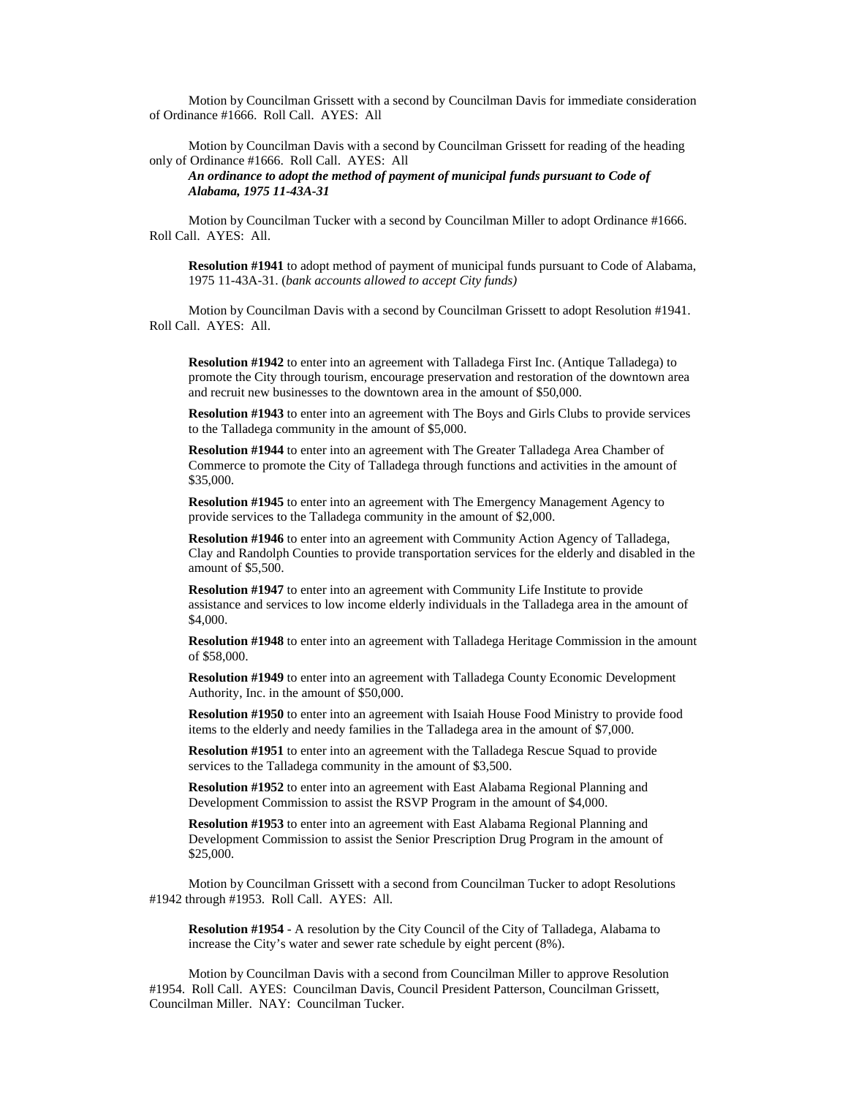Motion by Councilman Grissett with a second by Councilman Davis for immediate consideration of Ordinance #1666. Roll Call. AYES: All

Motion by Councilman Davis with a second by Councilman Grissett for reading of the heading only of Ordinance #1666. Roll Call. AYES: All

*An ordinance to adopt the method of payment of municipal funds pursuant to Code of Alabama, 1975 11-43A-31*

Motion by Councilman Tucker with a second by Councilman Miller to adopt Ordinance #1666. Roll Call. AYES: All.

**Resolution #1941** to adopt method of payment of municipal funds pursuant to Code of Alabama, 1975 11-43A-31. (*bank accounts allowed to accept City funds)*

Motion by Councilman Davis with a second by Councilman Grissett to adopt Resolution #1941. Roll Call. AYES: All.

**Resolution #1942** to enter into an agreement with Talladega First Inc. (Antique Talladega) to promote the City through tourism, encourage preservation and restoration of the downtown area and recruit new businesses to the downtown area in the amount of \$50,000.

**Resolution #1943** to enter into an agreement with The Boys and Girls Clubs to provide services to the Talladega community in the amount of \$5,000.

**Resolution #1944** to enter into an agreement with The Greater Talladega Area Chamber of Commerce to promote the City of Talladega through functions and activities in the amount of \$35,000.

**Resolution #1945** to enter into an agreement with The Emergency Management Agency to provide services to the Talladega community in the amount of \$2,000.

**Resolution #1946** to enter into an agreement with Community Action Agency of Talladega, Clay and Randolph Counties to provide transportation services for the elderly and disabled in the amount of \$5,500.

**Resolution #1947** to enter into an agreement with Community Life Institute to provide assistance and services to low income elderly individuals in the Talladega area in the amount of \$4,000.

**Resolution #1948** to enter into an agreement with Talladega Heritage Commission in the amount of \$58,000.

**Resolution #1949** to enter into an agreement with Talladega County Economic Development Authority, Inc. in the amount of \$50,000.

**Resolution #1950** to enter into an agreement with Isaiah House Food Ministry to provide food items to the elderly and needy families in the Talladega area in the amount of \$7,000.

**Resolution #1951** to enter into an agreement with the Talladega Rescue Squad to provide services to the Talladega community in the amount of \$3,500.

**Resolution #1952** to enter into an agreement with East Alabama Regional Planning and Development Commission to assist the RSVP Program in the amount of \$4,000.

**Resolution #1953** to enter into an agreement with East Alabama Regional Planning and Development Commission to assist the Senior Prescription Drug Program in the amount of  $$25,000.$ 

Motion by Councilman Grissett with a second from Councilman Tucker to adopt Resolutions #1942 through #1953. Roll Call. AYES: All.

**Resolution #1954** - A resolution by the City Council of the City of Talladega, Alabama to increase the City's water and sewer rate schedule by eight percent (8%).

Motion by Councilman Davis with a second from Councilman Miller to approve Resolution #1954. Roll Call. AYES: Councilman Davis, Council President Patterson, Councilman Grissett, Councilman Miller. NAY: Councilman Tucker.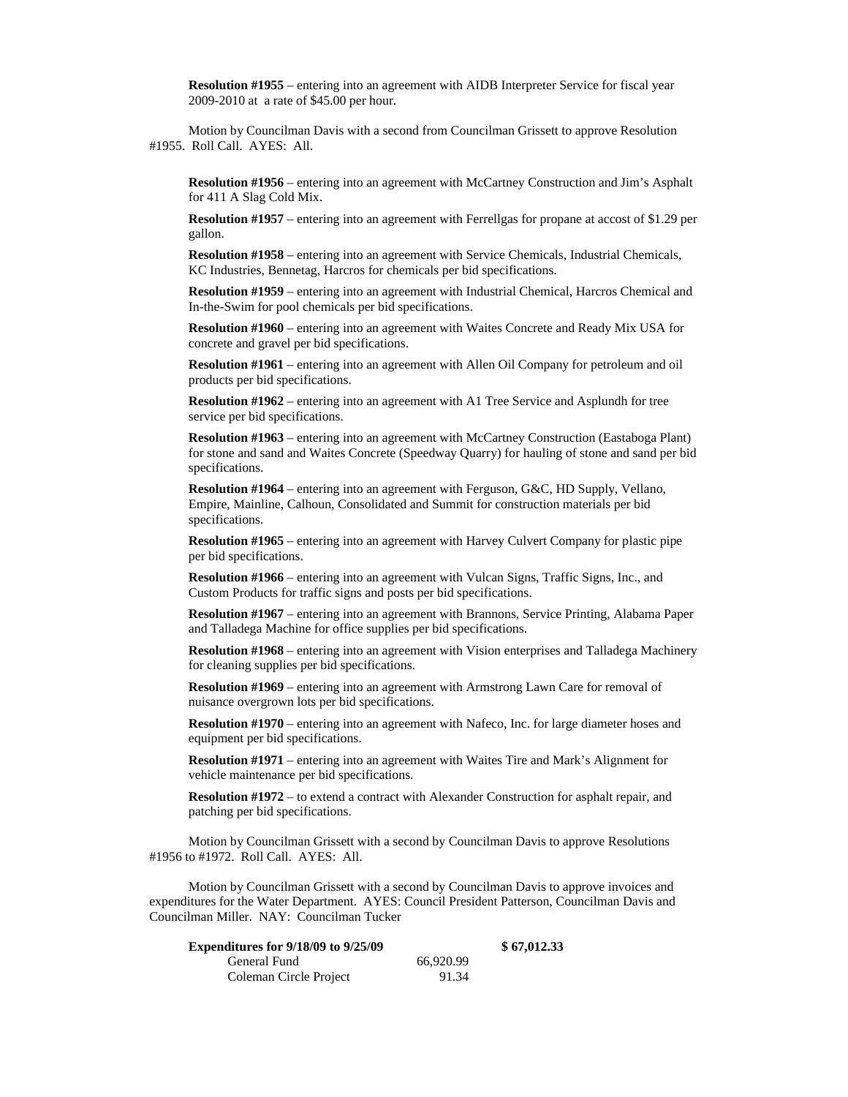**Resolution #1955** – entering into an agreement with AIDB Interpreter Service for fiscal year 2009-2010 at a rate of \$45.00 per hour.

Motion by Councilman Davis with a second from Councilman Grissett to approve Resolution #1955. Roll Call. AYES: All.

**Resolution #1956** – entering into an agreement with McCartney Construction and Jim's Asphalt for 411 A Slag Cold Mix.

**Resolution #1957** – entering into an agreement with Ferrellgas for propane at accost of \$1.29 per gallon.

**Resolution #1958** – entering into an agreement with Service Chemicals, Industrial Chemicals, KC Industries, Bennetag, Harcros for chemicals per bid specifications.

**Resolution #1959** – entering into an agreement with Industrial Chemical, Harcros Chemical and In-the-Swim for pool chemicals per bid specifications.

**Resolution #1960** – entering into an agreement with Waites Concrete and Ready Mix USA for concrete and gravel per bid specifications.

**Resolution #1961** – entering into an agreement with Allen Oil Company for petroleum and oil products per bid specifications.

**Resolution #1962** – entering into an agreement with A1 Tree Service and Asplundh for tree service per bid specifications.

**Resolution #1963** – entering into an agreement with McCartney Construction (Eastaboga Plant) for stone and sand and Waites Concrete (Speedway Quarry) for hauling of stone and sand per bid specifications.

**Resolution #1964** – entering into an agreement with Ferguson, G&C, HD Supply, Vellano, Empire, Mainline, Calhoun, Consolidated and Summit for construction materials per bid specifications.

**Resolution #1965** – entering into an agreement with Harvey Culvert Company for plastic pipe per bid specifications.

**Resolution #1966** – entering into an agreement with Vulcan Signs, Traffic Signs, Inc., and Custom Products for traffic signs and posts per bid specifications.

**Resolution #1967** – entering into an agreement with Brannons, Service Printing, Alabama Paper and Talladega Machine for office supplies per bid specifications.

**Resolution #1968** – entering into an agreement with Vision enterprises and Talladega Machinery for cleaning supplies per bid specifications.

**Resolution #1969** – entering into an agreement with Armstrong Lawn Care for removal of nuisance overgrown lots per bid specifications.

**Resolution #1970** – entering into an agreement with Nafeco, Inc. for large diameter hoses and equipment per bid specifications.

**Resolution #1971** – entering into an agreement with Waites Tire and Mark's Alignment for vehicle maintenance per bid specifications.

**Resolution #1972** – to extend a contract with Alexander Construction for asphalt repair, and patching per bid specifications.

Motion by Councilman Grissett with a second by Councilman Davis to approve Resolutions #1956 to #1972. Roll Call. AYES: All.

Motion by Councilman Grissett with a second by Councilman Davis to approve invoices and expenditures for the Water Department. AYES: Council President Patterson, Councilman Davis and Councilman Miller. NAY: Councilman Tucker

| <b>Expenditures for 9/18/09 to 9/25/09</b> |           | \$67,012.33 |
|--------------------------------------------|-----------|-------------|
| General Fund                               | 66.920.99 |             |
| Coleman Circle Project                     | 91.34     |             |